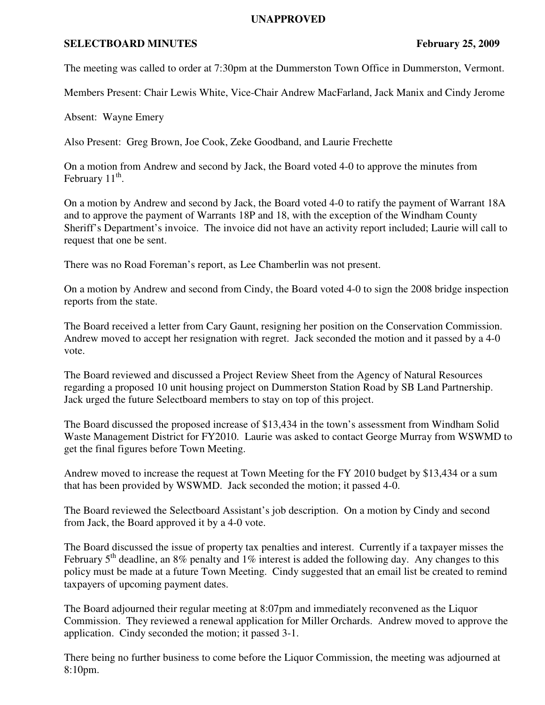## **UNAPPROVED**

## **SELECTBOARD MINUTES** February 25, 2009

The meeting was called to order at 7:30pm at the Dummerston Town Office in Dummerston, Vermont.

Members Present: Chair Lewis White, Vice-Chair Andrew MacFarland, Jack Manix and Cindy Jerome

Absent: Wayne Emery

Also Present: Greg Brown, Joe Cook, Zeke Goodband, and Laurie Frechette

On a motion from Andrew and second by Jack, the Board voted 4-0 to approve the minutes from February  $11^{\text{th}}$ .

On a motion by Andrew and second by Jack, the Board voted 4-0 to ratify the payment of Warrant 18A and to approve the payment of Warrants 18P and 18, with the exception of the Windham County Sheriff's Department's invoice. The invoice did not have an activity report included; Laurie will call to request that one be sent.

There was no Road Foreman's report, as Lee Chamberlin was not present.

On a motion by Andrew and second from Cindy, the Board voted 4-0 to sign the 2008 bridge inspection reports from the state.

The Board received a letter from Cary Gaunt, resigning her position on the Conservation Commission. Andrew moved to accept her resignation with regret. Jack seconded the motion and it passed by a 4-0 vote.

The Board reviewed and discussed a Project Review Sheet from the Agency of Natural Resources regarding a proposed 10 unit housing project on Dummerston Station Road by SB Land Partnership. Jack urged the future Selectboard members to stay on top of this project.

The Board discussed the proposed increase of \$13,434 in the town's assessment from Windham Solid Waste Management District for FY2010. Laurie was asked to contact George Murray from WSWMD to get the final figures before Town Meeting.

Andrew moved to increase the request at Town Meeting for the FY 2010 budget by \$13,434 or a sum that has been provided by WSWMD. Jack seconded the motion; it passed 4-0.

The Board reviewed the Selectboard Assistant's job description. On a motion by Cindy and second from Jack, the Board approved it by a 4-0 vote.

The Board discussed the issue of property tax penalties and interest. Currently if a taxpayer misses the February 5<sup>th</sup> deadline, an 8% penalty and 1% interest is added the following day. Any changes to this policy must be made at a future Town Meeting. Cindy suggested that an email list be created to remind taxpayers of upcoming payment dates.

The Board adjourned their regular meeting at 8:07pm and immediately reconvened as the Liquor Commission. They reviewed a renewal application for Miller Orchards. Andrew moved to approve the application. Cindy seconded the motion; it passed 3-1.

There being no further business to come before the Liquor Commission, the meeting was adjourned at 8:10pm.